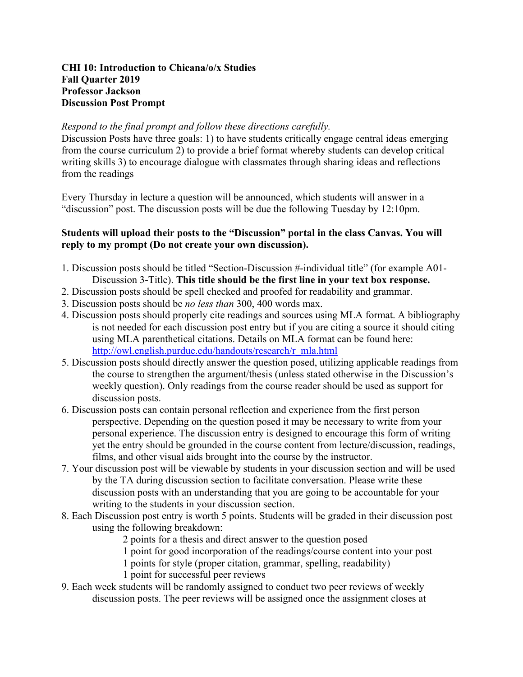## **CHI 10: Introduction to Chicana/o/x Studies Fall Quarter 2019 Professor Jackson Discussion Post Prompt**

## *Respond to the final prompt and follow these directions carefully.*

Discussion Posts have three goals: 1) to have students critically engage central ideas emerging from the course curriculum 2) to provide a brief format whereby students can develop critical writing skills 3) to encourage dialogue with classmates through sharing ideas and reflections from the readings

Every Thursday in lecture a question will be announced, which students will answer in a "discussion" post. The discussion posts will be due the following Tuesday by 12:10pm.

## **Students will upload their posts to the "Discussion" portal in the class Canvas. You will reply to my prompt (Do not create your own discussion).**

- 1. Discussion posts should be titled "Section-Discussion #-individual title" (for example A01- Discussion 3-Title). **This title should be the first line in your text box response.**
- 2. Discussion posts should be spell checked and proofed for readability and grammar.
- 3. Discussion posts should be *no less than* 300, 400 words max.
- 4. Discussion posts should properly cite readings and sources using MLA format. A bibliography is not needed for each discussion post entry but if you are citing a source it should citing using MLA parenthetical citations. Details on MLA format can be found here: http://owl.english.purdue.edu/handouts/research/r\_mla.html
- 5. Discussion posts should directly answer the question posed, utilizing applicable readings from the course to strengthen the argument/thesis (unless stated otherwise in the Discussion's weekly question). Only readings from the course reader should be used as support for discussion posts.
- 6. Discussion posts can contain personal reflection and experience from the first person perspective. Depending on the question posed it may be necessary to write from your personal experience. The discussion entry is designed to encourage this form of writing yet the entry should be grounded in the course content from lecture/discussion, readings, films, and other visual aids brought into the course by the instructor.
- 7. Your discussion post will be viewable by students in your discussion section and will be used by the TA during discussion section to facilitate conversation. Please write these discussion posts with an understanding that you are going to be accountable for your writing to the students in your discussion section.
- 8. Each Discussion post entry is worth 5 points. Students will be graded in their discussion post using the following breakdown:
	- 2 points for a thesis and direct answer to the question posed
	- 1 point for good incorporation of the readings/course content into your post
	- 1 points for style (proper citation, grammar, spelling, readability)
	- 1 point for successful peer reviews
- 9. Each week students will be randomly assigned to conduct two peer reviews of weekly discussion posts. The peer reviews will be assigned once the assignment closes at